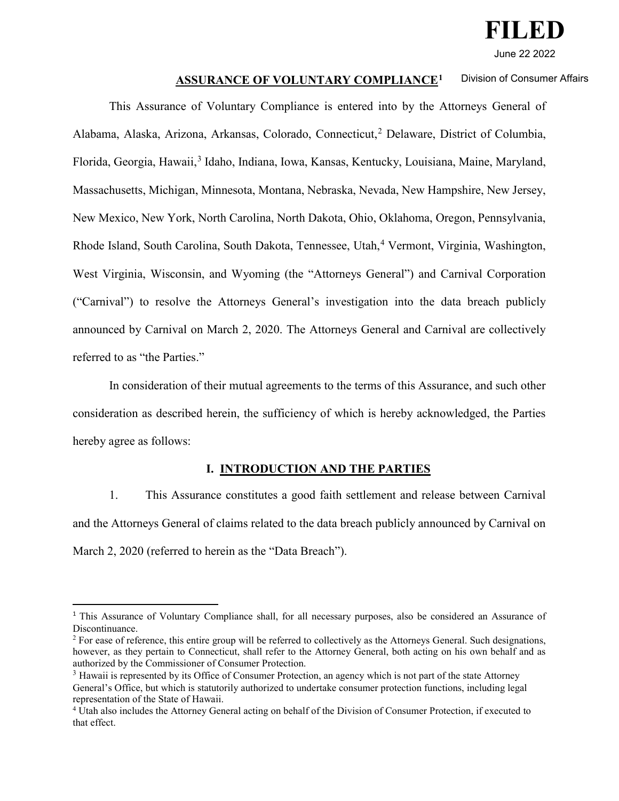

June 22 2022

#### **ASSURANCE OF VOLUNTARY COMPLIANCE[1](#page-0-0)** Division of Consumer Affairs

This Assurance of Voluntary Compliance is entered into by the Attorneys General of Alabama, Alaska, Arizona, Arkansas, Colorado, Connecticut,<sup>[2](#page-0-1)</sup> Delaware, District of Columbia, Florida, Georgia, Hawaii,<sup>[3](#page-0-2)</sup> Idaho, Indiana, Iowa, Kansas, Kentucky, Louisiana, Maine, Maryland, Massachusetts, Michigan, Minnesota, Montana, Nebraska, Nevada, New Hampshire, New Jersey, New Mexico, New York, North Carolina, North Dakota, Ohio, Oklahoma, Oregon, Pennsylvania, Rhode Island, South Carolina, South Dakota, Tennessee, Utah,<sup>[4](#page-0-3)</sup> Vermont, Virginia, Washington, West Virginia, Wisconsin, and Wyoming (the "Attorneys General") and Carnival Corporation ("Carnival") to resolve the Attorneys General's investigation into the data breach publicly announced by Carnival on March 2, 2020. The Attorneys General and Carnival are collectively referred to as "the Parties."

In consideration of their mutual agreements to the terms of this Assurance, and such other consideration as described herein, the sufficiency of which is hereby acknowledged, the Parties hereby agree as follows:

### **I. INTRODUCTION AND THE PARTIES**

1. This Assurance constitutes a good faith settlement and release between Carnival and the Attorneys General of claims related to the data breach publicly announced by Carnival on March 2, 2020 (referred to herein as the "Data Breach").

<span id="page-0-0"></span><sup>1</sup> This Assurance of Voluntary Compliance shall, for all necessary purposes, also be considered an Assurance of Discontinuance.

<span id="page-0-1"></span> $2$  For ease of reference, this entire group will be referred to collectively as the Attorneys General. Such designations, however, as they pertain to Connecticut, shall refer to the Attorney General, both acting on his own behalf and as authorized by the Commissioner of Consumer Protection.

<span id="page-0-2"></span><sup>&</sup>lt;sup>3</sup> Hawaii is represented by its Office of Consumer Protection, an agency which is not part of the state Attorney General's Office, but which is statutorily authorized to undertake consumer protection functions, including legal representation of the State of Hawaii.<br><sup>4</sup> Utah also includes the Attorney General acting on behalf of the Division of Consumer Protection, if executed to

<span id="page-0-3"></span>that effect.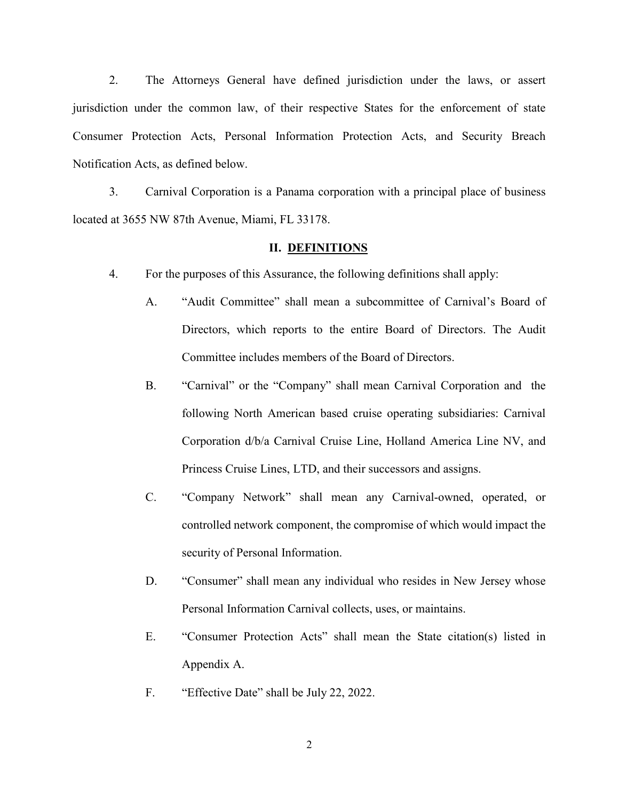2. The Attorneys General have defined jurisdiction under the laws, or assert jurisdiction under the common law, of their respective States for the enforcement of state Consumer Protection Acts, Personal Information Protection Acts, and Security Breach Notification Acts, as defined below.

3. Carnival Corporation is a Panama corporation with a principal place of business located at 3655 NW 87th Avenue, Miami, FL 33178.

#### **II. DEFINITIONS**

- 4. For the purposes of this Assurance, the following definitions shall apply:
	- A. "Audit Committee" shall mean a subcommittee of Carnival's Board of Directors, which reports to the entire Board of Directors. The Audit Committee includes members of the Board of Directors.
	- B. "Carnival" or the "Company" shall mean Carnival Corporation and the following North American based cruise operating subsidiaries: Carnival Corporation d/b/a Carnival Cruise Line, Holland America Line NV, and Princess Cruise Lines, LTD, and their successors and assigns.
	- C. "Company Network" shall mean any Carnival-owned, operated, or controlled network component, the compromise of which would impact the security of Personal Information.
	- D. "Consumer" shall mean any individual who resides in New Jersey whose Personal Information Carnival collects, uses, or maintains.
	- E. "Consumer Protection Acts" shall mean the State citation(s) listed in Appendix A.
	- F. "Effective Date" shall be July 22, 2022.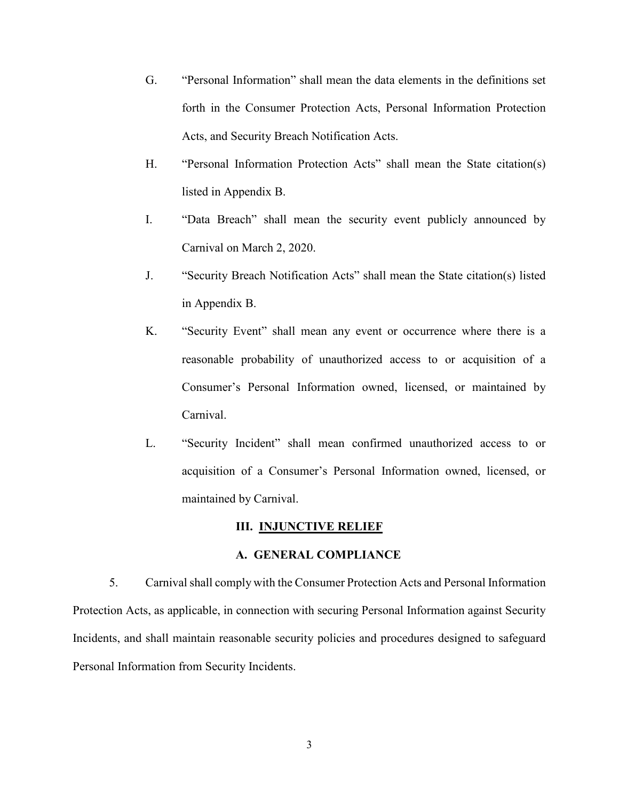- G. "Personal Information" shall mean the data elements in the definitions set forth in the Consumer Protection Acts, Personal Information Protection Acts, and Security Breach Notification Acts.
- H. "Personal Information Protection Acts" shall mean the State citation(s) listed in Appendix B.
- I. "Data Breach" shall mean the security event publicly announced by Carnival on March 2, 2020.
- J. "Security Breach Notification Acts" shall mean the State citation(s) listed in Appendix B.
- K. "Security Event" shall mean any event or occurrence where there is a reasonable probability of unauthorized access to or acquisition of a Consumer's Personal Information owned, licensed, or maintained by Carnival.
- L. "Security Incident" shall mean confirmed unauthorized access to or acquisition of a Consumer's Personal Information owned, licensed, or maintained by Carnival.

#### **III. INJUNCTIVE RELIEF**

### **A. GENERAL COMPLIANCE**

5. Carnival shall comply with the Consumer Protection Acts and Personal Information Protection Acts, as applicable, in connection with securing Personal Information against Security Incidents, and shall maintain reasonable security policies and procedures designed to safeguard Personal Information from Security Incidents.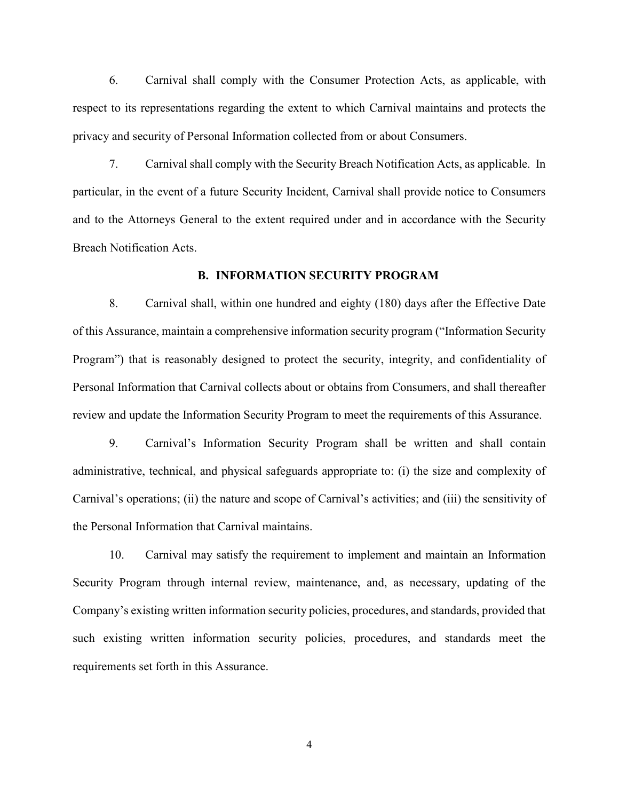6. Carnival shall comply with the Consumer Protection Acts, as applicable, with respect to its representations regarding the extent to which Carnival maintains and protects the privacy and security of Personal Information collected from or about Consumers.

7. Carnival shall comply with the Security Breach Notification Acts, as applicable. In particular, in the event of a future Security Incident, Carnival shall provide notice to Consumers and to the Attorneys General to the extent required under and in accordance with the Security Breach Notification Acts.

#### **B. INFORMATION SECURITY PROGRAM**

8. Carnival shall, within one hundred and eighty (180) days after the Effective Date of this Assurance, maintain a comprehensive information security program ("Information Security Program") that is reasonably designed to protect the security, integrity, and confidentiality of Personal Information that Carnival collects about or obtains from Consumers, and shall thereafter review and update the Information Security Program to meet the requirements of this Assurance.

9. Carnival's Information Security Program shall be written and shall contain administrative, technical, and physical safeguards appropriate to: (i) the size and complexity of Carnival's operations; (ii) the nature and scope of Carnival's activities; and (iii) the sensitivity of the Personal Information that Carnival maintains.

10. Carnival may satisfy the requirement to implement and maintain an Information Security Program through internal review, maintenance, and, as necessary, updating of the Company's existing written information security policies, procedures, and standards, provided that such existing written information security policies, procedures, and standards meet the requirements set forth in this Assurance.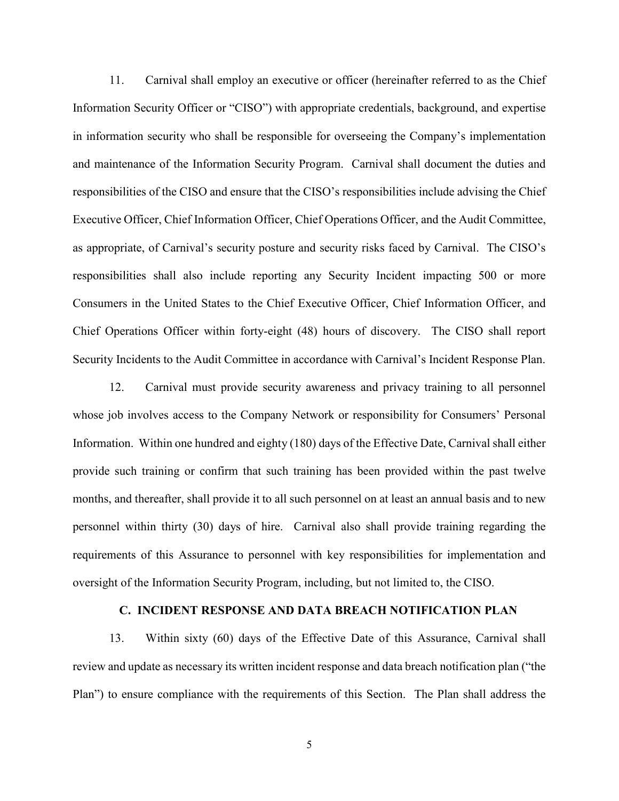11. Carnival shall employ an executive or officer (hereinafter referred to as the Chief Information Security Officer or "CISO") with appropriate credentials, background, and expertise in information security who shall be responsible for overseeing the Company's implementation and maintenance of the Information Security Program. Carnival shall document the duties and responsibilities of the CISO and ensure that the CISO's responsibilities include advising the Chief Executive Officer, Chief Information Officer, Chief Operations Officer, and the Audit Committee, as appropriate, of Carnival's security posture and security risks faced by Carnival. The CISO's responsibilities shall also include reporting any Security Incident impacting 500 or more Consumers in the United States to the Chief Executive Officer, Chief Information Officer, and Chief Operations Officer within forty-eight (48) hours of discovery. The CISO shall report Security Incidents to the Audit Committee in accordance with Carnival's Incident Response Plan.

12. Carnival must provide security awareness and privacy training to all personnel whose job involves access to the Company Network or responsibility for Consumers' Personal Information. Within one hundred and eighty (180) days of the Effective Date, Carnival shall either provide such training or confirm that such training has been provided within the past twelve months, and thereafter, shall provide it to all such personnel on at least an annual basis and to new personnel within thirty (30) days of hire. Carnival also shall provide training regarding the requirements of this Assurance to personnel with key responsibilities for implementation and oversight of the Information Security Program, including, but not limited to, the CISO.

#### **C. INCIDENT RESPONSE AND DATA BREACH NOTIFICATION PLAN**

13. Within sixty (60) days of the Effective Date of this Assurance, Carnival shall review and update as necessary its written incident response and data breach notification plan ("the Plan") to ensure compliance with the requirements of this Section. The Plan shall address the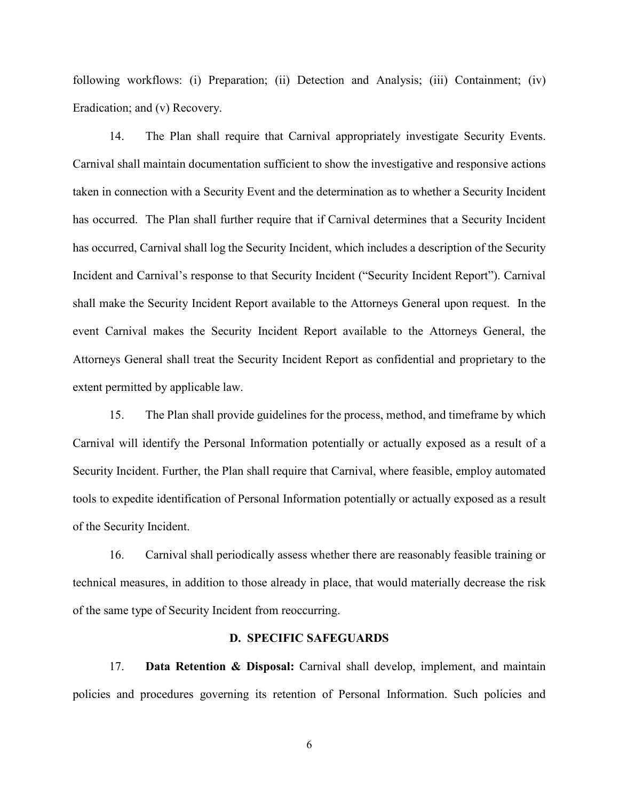following workflows: (i) Preparation; (ii) Detection and Analysis; (iii) Containment; (iv) Eradication; and (v) Recovery.

14. The Plan shall require that Carnival appropriately investigate Security Events. Carnival shall maintain documentation sufficient to show the investigative and responsive actions taken in connection with a Security Event and the determination as to whether a Security Incident has occurred. The Plan shall further require that if Carnival determines that a Security Incident has occurred, Carnival shall log the Security Incident, which includes a description of the Security Incident and Carnival's response to that Security Incident ("Security Incident Report"). Carnival shall make the Security Incident Report available to the Attorneys General upon request. In the event Carnival makes the Security Incident Report available to the Attorneys General, the Attorneys General shall treat the Security Incident Report as confidential and proprietary to the extent permitted by applicable law.

15. The Plan shall provide guidelines for the process, method, and timeframe by which Carnival will identify the Personal Information potentially or actually exposed as a result of a Security Incident. Further, the Plan shall require that Carnival, where feasible, employ automated tools to expedite identification of Personal Information potentially or actually exposed as a result of the Security Incident.

16. Carnival shall periodically assess whether there are reasonably feasible training or technical measures, in addition to those already in place, that would materially decrease the risk of the same type of Security Incident from reoccurring.

#### **D. SPECIFIC SAFEGUARDS**

17. **Data Retention & Disposal:** Carnival shall develop, implement, and maintain policies and procedures governing its retention of Personal Information. Such policies and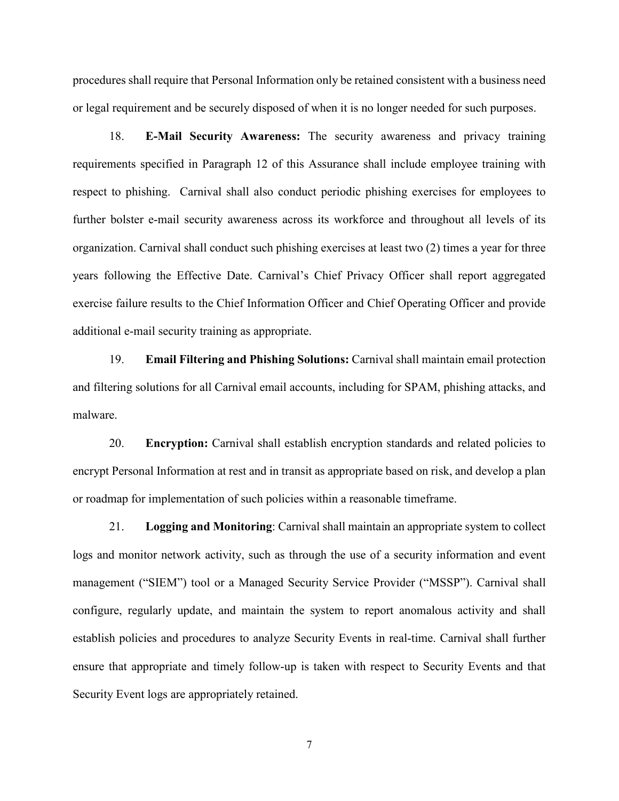procedures shall require that Personal Information only be retained consistent with a business need or legal requirement and be securely disposed of when it is no longer needed for such purposes.

18. **E-Mail Security Awareness:** The security awareness and privacy training requirements specified in Paragraph 12 of this Assurance shall include employee training with respect to phishing. Carnival shall also conduct periodic phishing exercises for employees to further bolster e-mail security awareness across its workforce and throughout all levels of its organization. Carnival shall conduct such phishing exercises at least two (2) times a year for three years following the Effective Date. Carnival's Chief Privacy Officer shall report aggregated exercise failure results to the Chief Information Officer and Chief Operating Officer and provide additional e-mail security training as appropriate.

19. **Email Filtering and Phishing Solutions:** Carnival shall maintain email protection and filtering solutions for all Carnival email accounts, including for SPAM, phishing attacks, and malware.

20. **Encryption:** Carnival shall establish encryption standards and related policies to encrypt Personal Information at rest and in transit as appropriate based on risk, and develop a plan or roadmap for implementation of such policies within a reasonable timeframe.

21. **Logging and Monitoring**: Carnival shall maintain an appropriate system to collect logs and monitor network activity, such as through the use of a security information and event management ("SIEM") tool or a Managed Security Service Provider ("MSSP"). Carnival shall configure, regularly update, and maintain the system to report anomalous activity and shall establish policies and procedures to analyze Security Events in real-time. Carnival shall further ensure that appropriate and timely follow-up is taken with respect to Security Events and that Security Event logs are appropriately retained.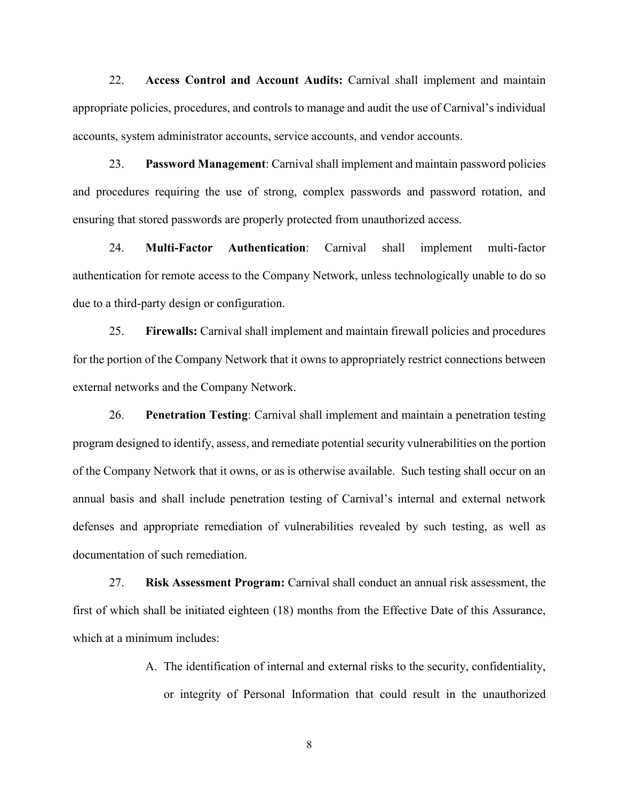22. **Access Control and Account Audits:** Carnival shall implement and maintain appropriate policies, procedures, and controls to manage and audit the use of Carnival's individual accounts, system administrator accounts, service accounts, and vendor accounts.

23. **Password Management**: Carnival shall implement and maintain password policies and procedures requiring the use of strong, complex passwords and password rotation, and ensuring that stored passwords are properly protected from unauthorized access.

24. **Multi-Factor Authentication**: Carnival shall implement multi-factor authentication for remote access to the Company Network, unless technologically unable to do so due to a third-party design or configuration.

25. **Firewalls:** Carnival shall implement and maintain firewall policies and procedures for the portion of the Company Network that it owns to appropriately restrict connections between external networks and the Company Network.

26. **Penetration Testing**: Carnival shall implement and maintain a penetration testing program designed to identify, assess, and remediate potential security vulnerabilities on the portion of the Company Network that it owns, or as is otherwise available. Such testing shall occur on an annual basis and shall include penetration testing of Carnival's internal and external network defenses and appropriate remediation of vulnerabilities revealed by such testing, as well as documentation of such remediation.

27. **Risk Assessment Program:** Carnival shall conduct an annual risk assessment, the first of which shall be initiated eighteen (18) months from the Effective Date of this Assurance, which at a minimum includes:

> A. The identification of internal and external risks to the security, confidentiality, or integrity of Personal Information that could result in the unauthorized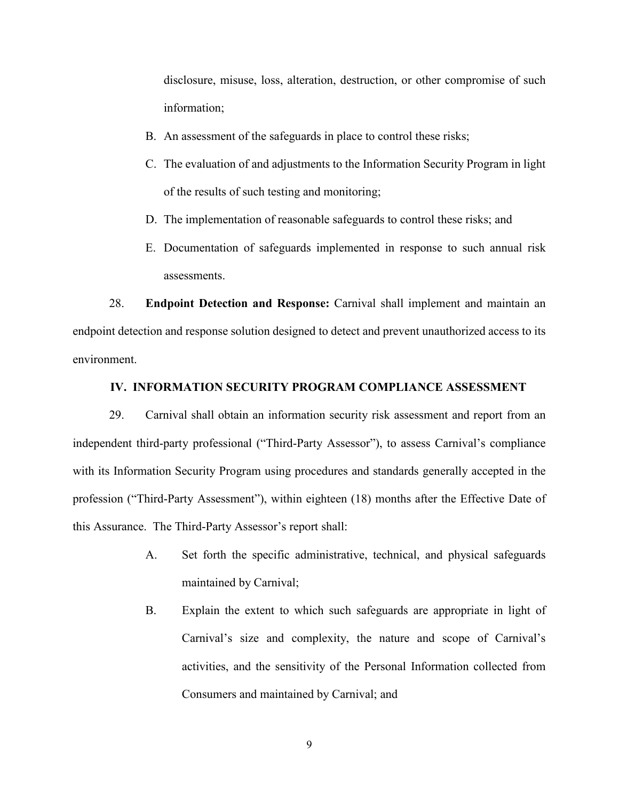disclosure, misuse, loss, alteration, destruction, or other compromise of such information;

- B. An assessment of the safeguards in place to control these risks;
- C. The evaluation of and adjustments to the Information Security Program in light of the results of such testing and monitoring;
- D. The implementation of reasonable safeguards to control these risks; and
- E. Documentation of safeguards implemented in response to such annual risk assessments.

28. **Endpoint Detection and Response:** Carnival shall implement and maintain an endpoint detection and response solution designed to detect and prevent unauthorized access to its environment.

### **IV. INFORMATION SECURITY PROGRAM COMPLIANCE ASSESSMENT**

29. Carnival shall obtain an information security risk assessment and report from an independent third-party professional ("Third-Party Assessor"), to assess Carnival's compliance with its Information Security Program using procedures and standards generally accepted in the profession ("Third-Party Assessment"), within eighteen (18) months after the Effective Date of this Assurance. The Third-Party Assessor's report shall:

- A. Set forth the specific administrative, technical, and physical safeguards maintained by Carnival;
- B. Explain the extent to which such safeguards are appropriate in light of Carnival's size and complexity, the nature and scope of Carnival's activities, and the sensitivity of the Personal Information collected from Consumers and maintained by Carnival; and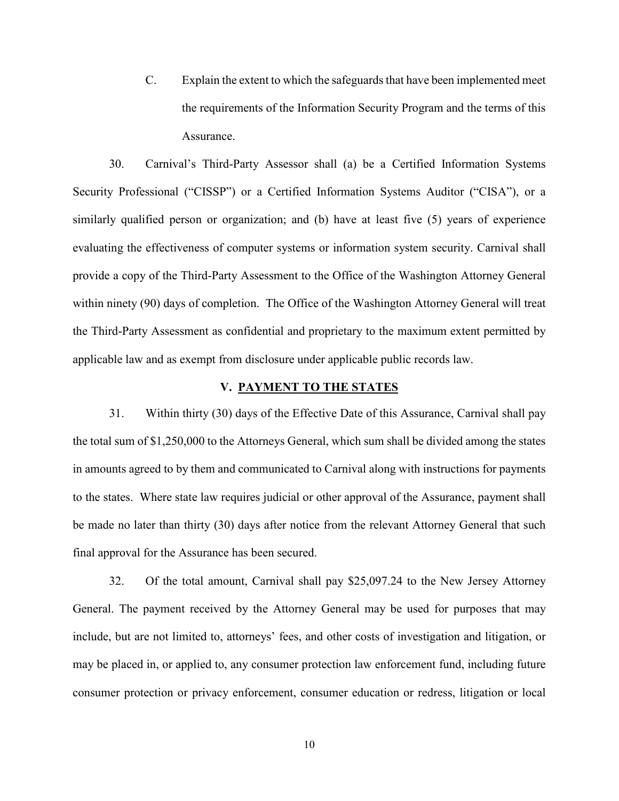C. Explain the extent to which the safeguards that have been implemented meet the requirements of the Information Security Program and the terms of this Assurance.

30. Carnival's Third-Party Assessor shall (a) be a Certified Information Systems Security Professional ("CISSP") or a Certified Information Systems Auditor ("CISA"), or a similarly qualified person or organization; and (b) have at least five (5) years of experience evaluating the effectiveness of computer systems or information system security. Carnival shall provide a copy of the Third-Party Assessment to the Office of the Washington Attorney General within ninety (90) days of completion. The Office of the Washington Attorney General will treat the Third-Party Assessment as confidential and proprietary to the maximum extent permitted by applicable law and as exempt from disclosure under applicable public records law.

### **V. PAYMENT TO THE STATES**

31. Within thirty (30) days of the Effective Date of this Assurance, Carnival shall pay the total sum of \$1,250,000 to the Attorneys General, which sum shall be divided among the states in amounts agreed to by them and communicated to Carnival along with instructions for payments to the states. Where state law requires judicial or other approval of the Assurance, payment shall be made no later than thirty (30) days after notice from the relevant Attorney General that such final approval for the Assurance has been secured.

32. Of the total amount, Carnival shall pay \$25,097.24 to the New Jersey Attorney General. The payment received by the Attorney General may be used for purposes that may include, but are not limited to, attorneys' fees, and other costs of investigation and litigation, or may be placed in, or applied to, any consumer protection law enforcement fund, including future consumer protection or privacy enforcement, consumer education or redress, litigation or local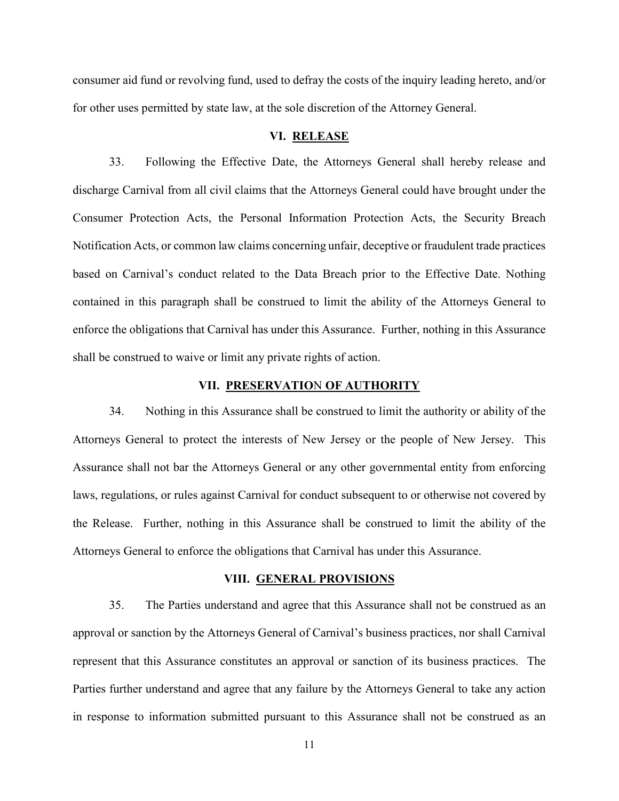consumer aid fund or revolving fund, used to defray the costs of the inquiry leading hereto, and/or for other uses permitted by state law, at the sole discretion of the Attorney General.

### **VI. RELEASE**

33. Following the Effective Date, the Attorneys General shall hereby release and discharge Carnival from all civil claims that the Attorneys General could have brought under the Consumer Protection Acts, the Personal Information Protection Acts, the Security Breach Notification Acts, or common law claims concerning unfair, deceptive or fraudulent trade practices based on Carnival's conduct related to the Data Breach prior to the Effective Date. Nothing contained in this paragraph shall be construed to limit the ability of the Attorneys General to enforce the obligations that Carnival has under this Assurance. Further, nothing in this Assurance shall be construed to waive or limit any private rights of action.

#### **VII. PRESERVATIO**N **OF AUTHORITY**

34. Nothing in this Assurance shall be construed to limit the authority or ability of the Attorneys General to protect the interests of New Jersey or the people of New Jersey. This Assurance shall not bar the Attorneys General or any other governmental entity from enforcing laws, regulations, or rules against Carnival for conduct subsequent to or otherwise not covered by the Release. Further, nothing in this Assurance shall be construed to limit the ability of the Attorneys General to enforce the obligations that Carnival has under this Assurance.

#### **VIII. GENERAL PROVISIONS**

35. The Parties understand and agree that this Assurance shall not be construed as an approval or sanction by the Attorneys General of Carnival's business practices, nor shall Carnival represent that this Assurance constitutes an approval or sanction of its business practices. The Parties further understand and agree that any failure by the Attorneys General to take any action in response to information submitted pursuant to this Assurance shall not be construed as an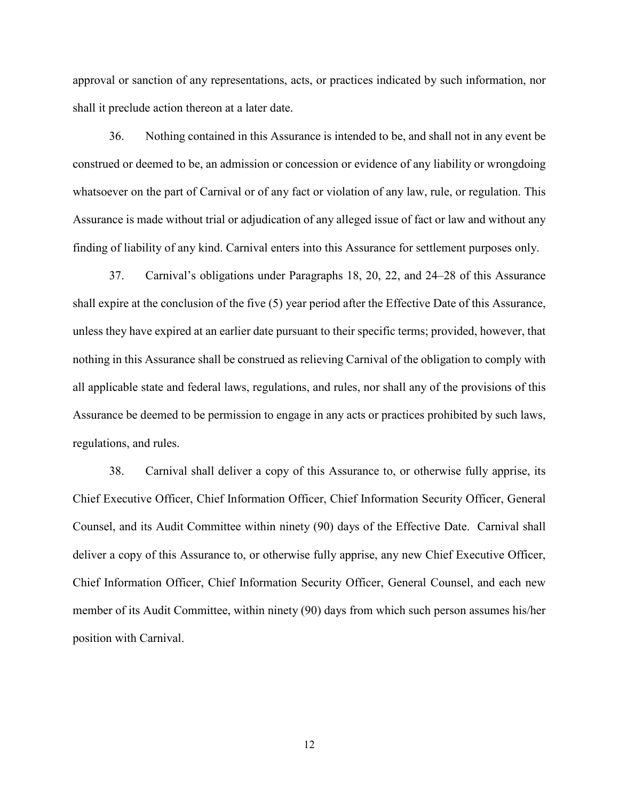approval or sanction of any representations, acts, or practices indicated by such information, nor shall it preclude action thereon at a later date.

36. Nothing contained in this Assurance is intended to be, and shall not in any event be construed or deemed to be, an admission or concession or evidence of any liability or wrongdoing whatsoever on the part of Carnival or of any fact or violation of any law, rule, or regulation. This Assurance is made without trial or adjudication of any alleged issue of fact or law and without any finding of liability of any kind. Carnival enters into this Assurance for settlement purposes only.

37. Carnival's obligations under Paragraphs 18, 20, 22, and 24–28 of this Assurance shall expire at the conclusion of the five (5) year period after the Effective Date of this Assurance, unless they have expired at an earlier date pursuant to their specific terms; provided, however, that nothing in this Assurance shall be construed as relieving Carnival of the obligation to comply with all applicable state and federal laws, regulations, and rules, nor shall any of the provisions of this Assurance be deemed to be permission to engage in any acts or practices prohibited by such laws, regulations, and rules.

38. Carnival shall deliver a copy of this Assurance to, or otherwise fully apprise, its Chief Executive Officer, Chief Information Officer, Chief Information Security Officer, General Counsel, and its Audit Committee within ninety (90) days of the Effective Date. Carnival shall deliver a copy of this Assurance to, or otherwise fully apprise, any new Chief Executive Officer, Chief Information Officer, Chief Information Security Officer, General Counsel, and each new member of its Audit Committee, within ninety (90) days from which such person assumes his/her position with Carnival.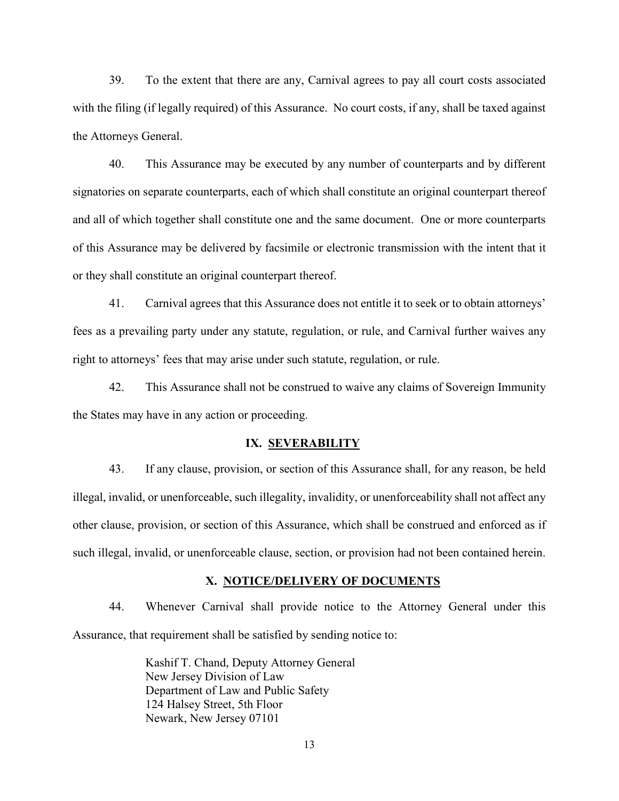39. To the extent that there are any, Carnival agrees to pay all court costs associated with the filing (if legally required) of this Assurance. No court costs, if any, shall be taxed against the Attorneys General.

40. This Assurance may be executed by any number of counterparts and by different signatories on separate counterparts, each of which shall constitute an original counterpart thereof and all of which together shall constitute one and the same document. One or more counterparts of this Assurance may be delivered by facsimile or electronic transmission with the intent that it or they shall constitute an original counterpart thereof.

41. Carnival agrees that this Assurance does not entitle it to seek or to obtain attorneys' fees as a prevailing party under any statute, regulation, or rule, and Carnival further waives any right to attorneys' fees that may arise under such statute, regulation, or rule.

42. This Assurance shall not be construed to waive any claims of Sovereign Immunity the States may have in any action or proceeding.

#### **IX. SEVERABILITY**

43. If any clause, provision, or section of this Assurance shall, for any reason, be held illegal, invalid, or unenforceable, such illegality, invalidity, or unenforceability shall not affect any other clause, provision, or section of this Assurance, which shall be construed and enforced as if such illegal, invalid, or unenforceable clause, section, or provision had not been contained herein.

#### **X. NOTICE/DELIVERY OF DOCUMENTS**

44. Whenever Carnival shall provide notice to the Attorney General under this Assurance, that requirement shall be satisfied by sending notice to:

> Kashif T. Chand, Deputy Attorney General New Jersey Division of Law Department of Law and Public Safety 124 Halsey Street, 5th Floor Newark, New Jersey 07101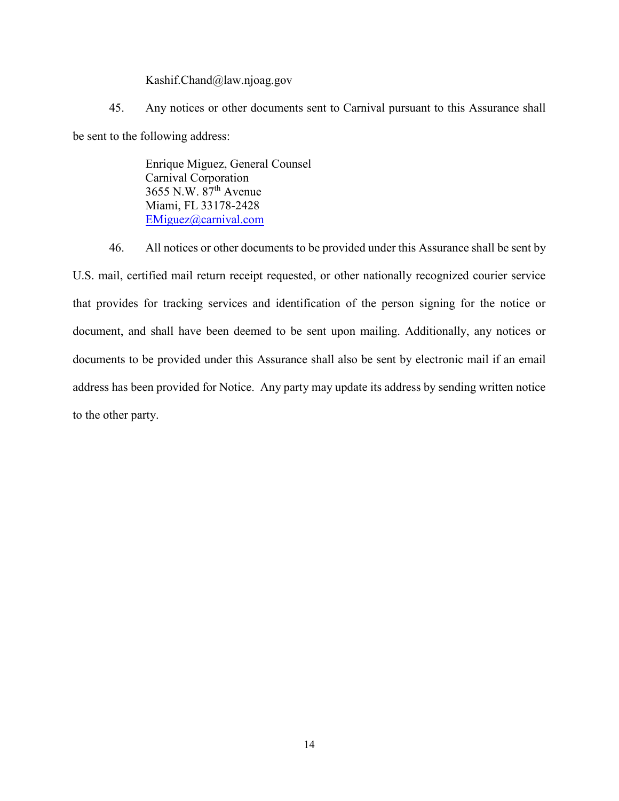Kashif.Chand@law.njoag.gov

45. Any notices or other documents sent to Carnival pursuant to this Assurance shall be sent to the following address:

> Enrique Miguez, General Counsel Carnival Corporation 3655 N.W. 87th Avenue Miami, FL 33178-2428 [EMiguez@carnival.com](mailto:EMiguez@carnival.com)

46. All notices or other documents to be provided under this Assurance shall be sent by U.S. mail, certified mail return receipt requested, or other nationally recognized courier service that provides for tracking services and identification of the person signing for the notice or document, and shall have been deemed to be sent upon mailing. Additionally, any notices or documents to be provided under this Assurance shall also be sent by electronic mail if an email address has been provided for Notice. Any party may update its address by sending written notice to the other party.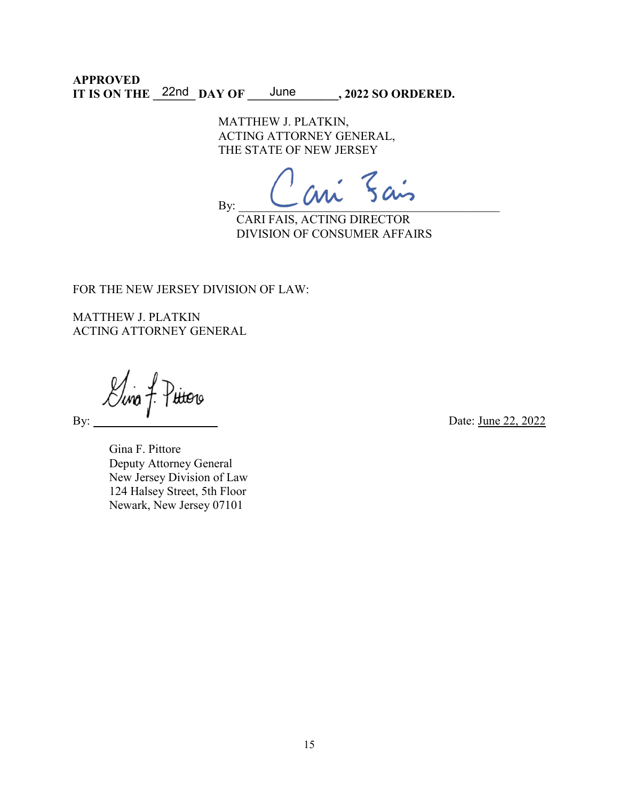**APPROVED** IT IS ON THE  $\frac{22nd}{DAY}$  OF  $\frac{June}{.}$ , 2022 SO ORDERED.

> MATTHEW J. PLATKIN, ACTING ATTORNEY GENERAL, THE STATE OF NEW JERSEY

By: \_\_\_\_\_\_\_\_\_\_\_\_\_\_\_\_\_\_\_\_\_\_\_\_\_\_\_\_\_\_\_\_\_\_\_\_\_\_\_\_\_\_\_

CARI FAIS, ACTING DIRECTOR DIVISION OF CONSUMER AFFAIRS

FOR THE NEW JERSEY DIVISION OF LAW:

MATTHEW J. PLATKIN ACTING ATTORNEY GENERAL

 $\mathcal{L}$ ina Putoro

By: Date: June 22, 2022

Gina F. Pittore Deputy Attorney General New Jersey Division of Law 124 Halsey Street, 5th Floor Newark, New Jersey 07101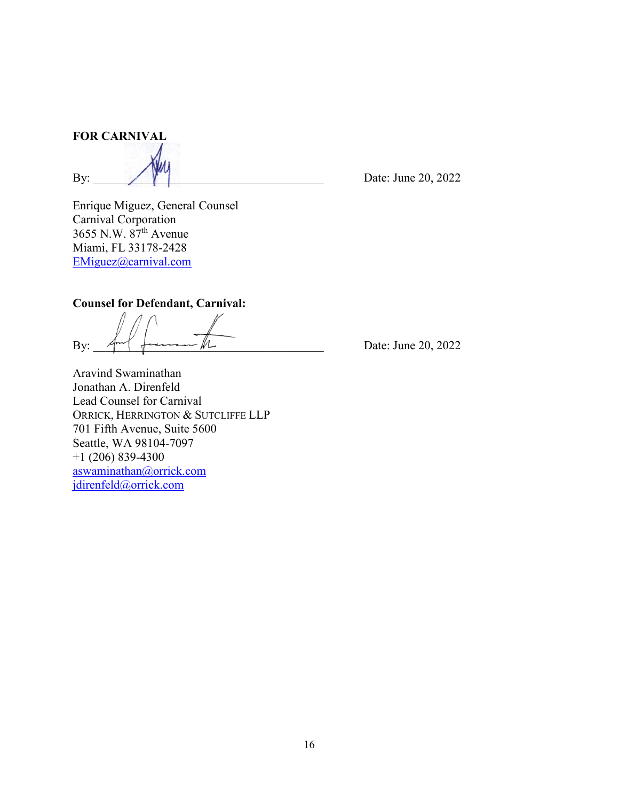**FOR CARNIVAL**

By:  $\bigcup_{n=1}^{\infty}$  Date: June 20, 2022

Enrique Miguez, General Counsel Carnival Corporation 3655 N.W. 87th Avenue Miami, FL 33178-2428 [EMiguez@carnival.com](mailto:EMiguez@carnival.com)

## **Counsel for Defendant, Carnival:**

By:  $\mathbb{R}^{n+1}$  from  $\mathbb{R}^{n}$  Date: June 20, 2022

Aravind Swaminathan Jonathan A. Direnfeld Lead Counsel for Carnival ORRICK, HERRINGTON & SUTCLIFFE LLP 701 Fifth Avenue, Suite 5600 Seattle, WA 98104-7097 +1 (206) 839-4300 [aswaminathan@orrick.com](mailto:aswaminathan@orrick.com) [jdirenfeld@orrick.com](mailto:jdirenfeld@orrick.com)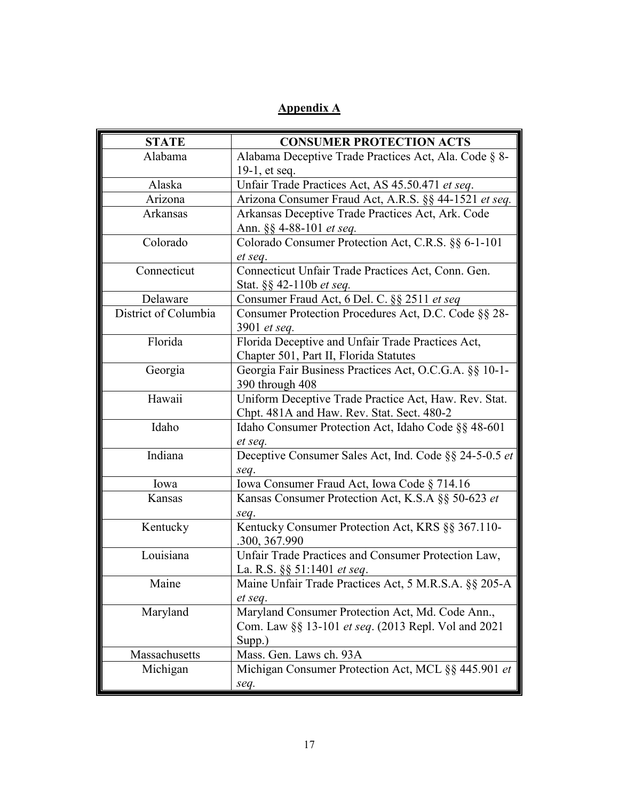# **Appendix A**

| <b>STATE</b>         | <b>CONSUMER PROTECTION ACTS</b>                        |
|----------------------|--------------------------------------------------------|
| Alabama              | Alabama Deceptive Trade Practices Act, Ala. Code § 8-  |
|                      | $19-1$ , et seq.                                       |
| Alaska               | Unfair Trade Practices Act, AS 45.50.471 et seq.       |
| Arizona              | Arizona Consumer Fraud Act, A.R.S. §§ 44-1521 et seq.  |
| Arkansas             | Arkansas Deceptive Trade Practices Act, Ark. Code      |
|                      | Ann. §§ 4-88-101 et seq.                               |
| Colorado             | Colorado Consumer Protection Act, C.R.S. §§ 6-1-101    |
|                      | et seq.                                                |
| Connecticut          | Connecticut Unfair Trade Practices Act, Conn. Gen.     |
|                      | Stat. §§ 42-110b <i>et seq.</i>                        |
| Delaware             | Consumer Fraud Act, 6 Del. C. §§ 2511 et seq           |
| District of Columbia | Consumer Protection Procedures Act, D.C. Code §§ 28-   |
|                      | 3901 et seq.                                           |
| Florida              | Florida Deceptive and Unfair Trade Practices Act,      |
|                      | Chapter 501, Part II, Florida Statutes                 |
| Georgia              | Georgia Fair Business Practices Act, O.C.G.A. §§ 10-1- |
|                      | 390 through 408                                        |
| Hawaii               | Uniform Deceptive Trade Practice Act, Haw. Rev. Stat.  |
|                      | Chpt. 481A and Haw. Rev. Stat. Sect. 480-2             |
| Idaho                | Idaho Consumer Protection Act, Idaho Code §§ 48-601    |
|                      | et seq.                                                |
| Indiana              | Deceptive Consumer Sales Act, Ind. Code §§ 24-5-0.5 et |
|                      | seq.                                                   |
| Iowa                 | Iowa Consumer Fraud Act, Iowa Code § 714.16            |
| Kansas               | Kansas Consumer Protection Act, K.S.A §§ 50-623 et     |
|                      | seq.                                                   |
| Kentucky             | Kentucky Consumer Protection Act, KRS §§ 367.110-      |
|                      | .300, 367.990                                          |
| Louisiana            | Unfair Trade Practices and Consumer Protection Law,    |
|                      | La. R.S. §§ 51:1401 <i>et seq.</i>                     |
| Maine                | Maine Unfair Trade Practices Act, 5 M.R.S.A. §§ 205-A  |
|                      | et seq.                                                |
| Maryland             | Maryland Consumer Protection Act, Md. Code Ann.,       |
|                      | Com. Law §§ 13-101 et seq. (2013 Repl. Vol and 2021    |
|                      | Supp.)                                                 |
| Massachusetts        | Mass. Gen. Laws ch. 93A                                |
| Michigan             | Michigan Consumer Protection Act, MCL §§ 445.901 et    |
|                      | seq.                                                   |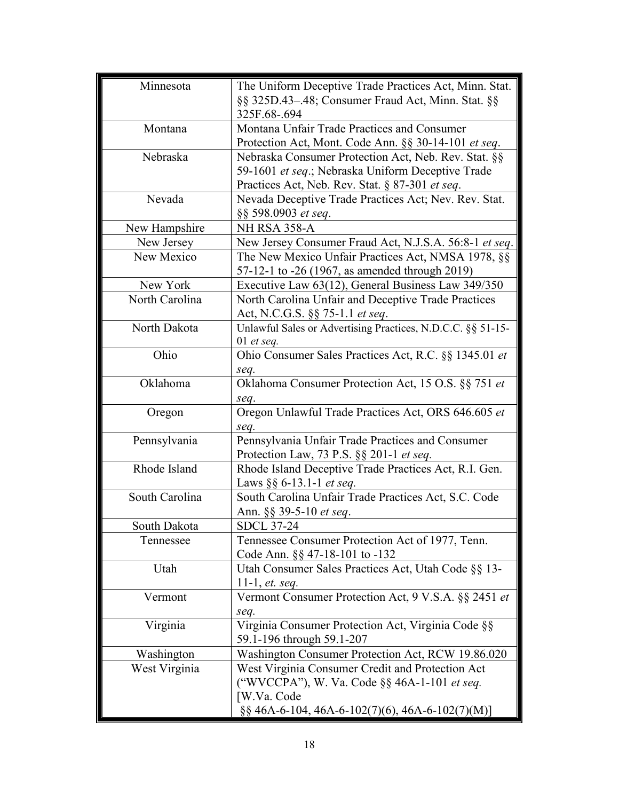| Minnesota      | The Uniform Deceptive Trade Practices Act, Minn. Stat.      |
|----------------|-------------------------------------------------------------|
|                | §§ 325D.43-.48; Consumer Fraud Act, Minn. Stat. §§          |
|                | 325F.68-.694                                                |
| Montana        | Montana Unfair Trade Practices and Consumer                 |
|                | Protection Act, Mont. Code Ann. §§ 30-14-101 et seq.        |
| Nebraska       | Nebraska Consumer Protection Act, Neb. Rev. Stat. §§        |
|                | 59-1601 et seq.; Nebraska Uniform Deceptive Trade           |
|                | Practices Act, Neb. Rev. Stat. § 87-301 et seq.             |
| Nevada         | Nevada Deceptive Trade Practices Act; Nev. Rev. Stat.       |
|                | §§ 598.0903 et seq.                                         |
| New Hampshire  | NH RSA 358-A                                                |
| New Jersey     | New Jersey Consumer Fraud Act, N.J.S.A. 56:8-1 et seq.      |
| New Mexico     | The New Mexico Unfair Practices Act, NMSA 1978, §§          |
|                | 57-12-1 to -26 (1967, as amended through 2019)              |
| New York       | Executive Law 63(12), General Business Law 349/350          |
| North Carolina | North Carolina Unfair and Deceptive Trade Practices         |
|                | Act, N.C.G.S. §§ 75-1.1 et seq.                             |
| North Dakota   | Unlawful Sales or Advertising Practices, N.D.C.C. §§ 51-15- |
|                | 01 et seq.                                                  |
| Ohio           | Ohio Consumer Sales Practices Act, R.C. §§ 1345.01 et       |
|                | seq.                                                        |
| Oklahoma       | Oklahoma Consumer Protection Act, 15 O.S. §§ 751 et         |
|                | seq.                                                        |
| Oregon         | Oregon Unlawful Trade Practices Act, ORS 646.605 et         |
|                | seq.                                                        |
| Pennsylvania   | Pennsylvania Unfair Trade Practices and Consumer            |
|                | Protection Law, 73 P.S. §§ 201-1 et seq.                    |
| Rhode Island   | Rhode Island Deceptive Trade Practices Act, R.I. Gen.       |
|                | Laws $\S\S 6$ -13.1-1 <i>et seq.</i>                        |
| South Carolina | South Carolina Unfair Trade Practices Act, S.C. Code        |
|                | Ann. §§ 39-5-10 et seq.                                     |
| South Dakota   | SDCL 37-24                                                  |
| Tennessee      | Tennessee Consumer Protection Act of 1977, Tenn.            |
|                | Code Ann. §§ 47-18-101 to -132                              |
| Utah           | Utah Consumer Sales Practices Act, Utah Code §§ 13-         |
|                | 11-1, <i>et.</i> seq.                                       |
| Vermont        | Vermont Consumer Protection Act, 9 V.S.A. §§ 2451 et        |
|                | seq.                                                        |
| Virginia       | Virginia Consumer Protection Act, Virginia Code §§          |
|                | 59.1-196 through 59.1-207                                   |
| Washington     | Washington Consumer Protection Act, RCW 19.86.020           |
| West Virginia  | West Virginia Consumer Credit and Protection Act            |
|                | ("WVCCPA"), W. Va. Code §§ 46A-1-101 et seq.                |
|                | [W.Va. Code                                                 |
|                | $\S$ § 46A-6-104, 46A-6-102(7)(6), 46A-6-102(7)(M)]         |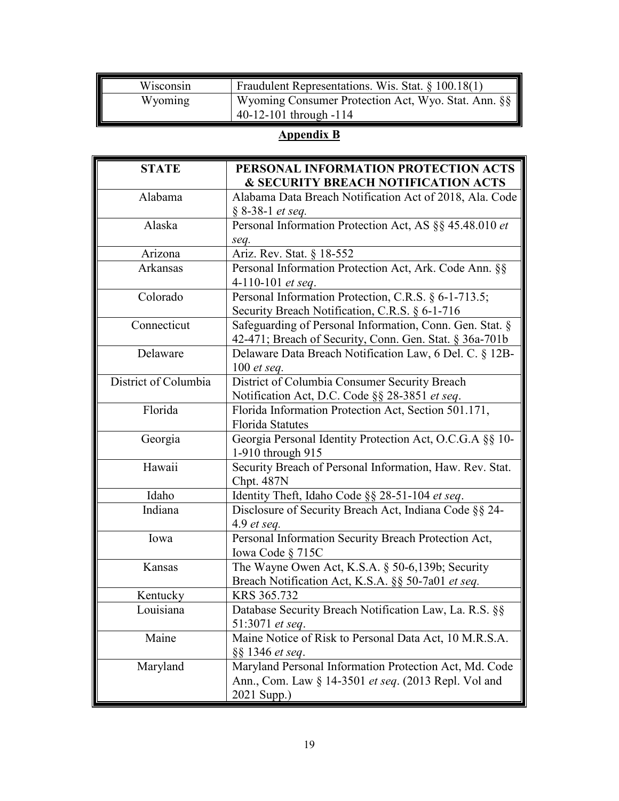| Wisconsin | Fraudulent Representations. Wis. Stat. $\S$ 100.18(1)                              |
|-----------|------------------------------------------------------------------------------------|
| Wyoming   | Wyoming Consumer Protection Act, Wyo. Stat. Ann. §§<br>$-40-12-101$ through $-114$ |

# **Appendix B**

| <b>STATE</b>         | PERSONAL INFORMATION PROTECTION ACTS                     |
|----------------------|----------------------------------------------------------|
|                      | <b>&amp; SECURITY BREACH NOTIFICATION ACTS</b>           |
| Alabama              | Alabama Data Breach Notification Act of 2018, Ala. Code  |
|                      | § 8-38-1 et seq.                                         |
| Alaska               | Personal Information Protection Act, AS §§ 45.48.010 et  |
|                      | seq.                                                     |
| Arizona              | Ariz. Rev. Stat. § 18-552                                |
| Arkansas             | Personal Information Protection Act, Ark. Code Ann. §§   |
|                      | 4-110-101 et seq.                                        |
| Colorado             | Personal Information Protection, C.R.S. § 6-1-713.5;     |
|                      | Security Breach Notification, C.R.S. § 6-1-716           |
| Connecticut          | Safeguarding of Personal Information, Conn. Gen. Stat. § |
|                      | 42-471; Breach of Security, Conn. Gen. Stat. § 36a-701b  |
| Delaware             | Delaware Data Breach Notification Law, 6 Del. C. § 12B-  |
|                      | 100 $et$ seq.                                            |
| District of Columbia | District of Columbia Consumer Security Breach            |
|                      | Notification Act, D.C. Code §§ 28-3851 et seq.           |
| Florida              | Florida Information Protection Act, Section 501.171,     |
|                      | <b>Florida Statutes</b>                                  |
| Georgia              | Georgia Personal Identity Protection Act, O.C.G.A §§ 10- |
|                      | 1-910 through 915                                        |
| Hawaii               | Security Breach of Personal Information, Haw. Rev. Stat. |
|                      | Chpt. 487N                                               |
| Idaho                | Identity Theft, Idaho Code §§ 28-51-104 et seq.          |
| Indiana              | Disclosure of Security Breach Act, Indiana Code §§ 24-   |
|                      | 4.9 $et seq.$                                            |
| Iowa                 | Personal Information Security Breach Protection Act,     |
|                      | Iowa Code $\S$ 715C                                      |
| Kansas               | The Wayne Owen Act, K.S.A. $\S$ 50-6,139b; Security      |
|                      | Breach Notification Act, K.S.A. §§ 50-7a01 et seq.       |
| Kentucky             | KRS 365.732                                              |
| Louisiana            | Database Security Breach Notification Law, La. R.S. §§   |
|                      | 51:3071 et seq.                                          |
| Maine                | Maine Notice of Risk to Personal Data Act, 10 M.R.S.A.   |
|                      | §§ 1346 et seq.                                          |
| Maryland             | Maryland Personal Information Protection Act, Md. Code   |
|                      | Ann., Com. Law § 14-3501 et seq. (2013 Repl. Vol and     |
|                      | 2021 Supp.)                                              |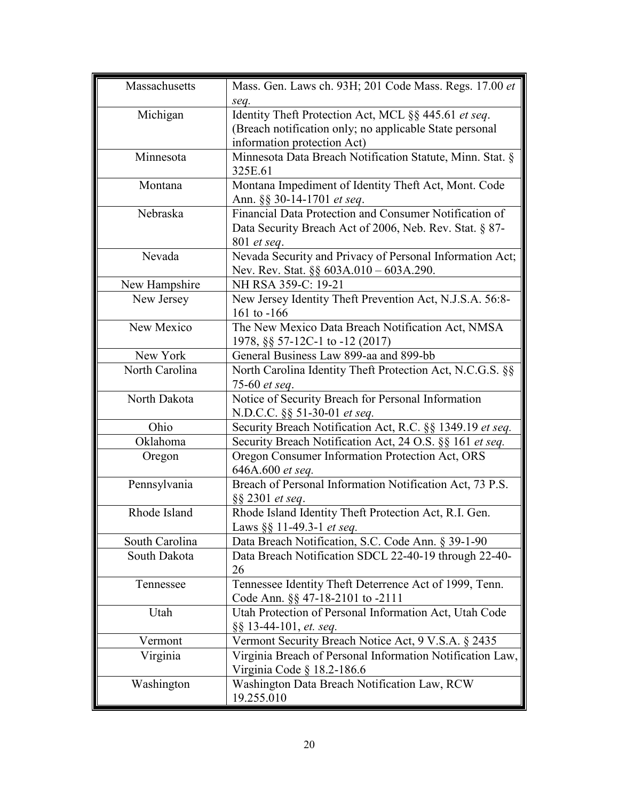| Massachusetts  | Mass. Gen. Laws ch. 93H; 201 Code Mass. Regs. 17.00 et                             |
|----------------|------------------------------------------------------------------------------------|
|                | seq.                                                                               |
| Michigan       | Identity Theft Protection Act, MCL §§ 445.61 et seq.                               |
|                | (Breach notification only; no applicable State personal                            |
|                | information protection Act)                                                        |
| Minnesota      | Minnesota Data Breach Notification Statute, Minn. Stat. §<br>325E.61               |
| Montana        | Montana Impediment of Identity Theft Act, Mont. Code<br>Ann. §§ 30-14-1701 et seq. |
| Nebraska       | Financial Data Protection and Consumer Notification of                             |
|                | Data Security Breach Act of 2006, Neb. Rev. Stat. § 87-                            |
|                | 801 <i>et seq.</i>                                                                 |
| Nevada         | Nevada Security and Privacy of Personal Information Act;                           |
|                | Nev. Rev. Stat. $\S\S 603A.010 - 603A.290$ .                                       |
| New Hampshire  | NH RSA 359-C: 19-21                                                                |
| New Jersey     | New Jersey Identity Theft Prevention Act, N.J.S.A. 56:8-                           |
|                | 161 to $-166$                                                                      |
| New Mexico     | The New Mexico Data Breach Notification Act, NMSA                                  |
|                | 1978, §§ 57-12C-1 to -12 (2017)                                                    |
| New York       | General Business Law 899-aa and 899-bb                                             |
| North Carolina | North Carolina Identity Theft Protection Act, N.C.G.S. §§                          |
|                | 75-60 et seq.                                                                      |
| North Dakota   | Notice of Security Breach for Personal Information                                 |
|                | N.D.C.C. §§ 51-30-01 et seq.                                                       |
| Ohio           | Security Breach Notification Act, R.C. §§ 1349.19 et seq.                          |
| Oklahoma       | Security Breach Notification Act, 24 O.S. §§ 161 et seq.                           |
| Oregon         | Oregon Consumer Information Protection Act, ORS                                    |
|                | 646A.600 et seq.                                                                   |
| Pennsylvania   | Breach of Personal Information Notification Act, 73 P.S.                           |
|                | §§ 2301 et seq.                                                                    |
| Rhode Island   | Rhode Island Identity Theft Protection Act, R.I. Gen.                              |
|                | Laws §§ 11-49.3-1 et seq.                                                          |
| South Carolina | Data Breach Notification, S.C. Code Ann. § 39-1-90                                 |
| South Dakota   | Data Breach Notification SDCL 22-40-19 through 22-40-                              |
|                | 26                                                                                 |
| Tennessee      | Tennessee Identity Theft Deterrence Act of 1999, Tenn.                             |
|                | Code Ann. §§ 47-18-2101 to -2111                                                   |
| Utah           | Utah Protection of Personal Information Act, Utah Code                             |
|                | §§ 13-44-101, et. seq.                                                             |
| Vermont        | Vermont Security Breach Notice Act, 9 V.S.A. § 2435                                |
| Virginia       | Virginia Breach of Personal Information Notification Law,                          |
|                | Virginia Code § 18.2-186.6                                                         |
| Washington     | Washington Data Breach Notification Law, RCW                                       |
|                | 19.255.010                                                                         |